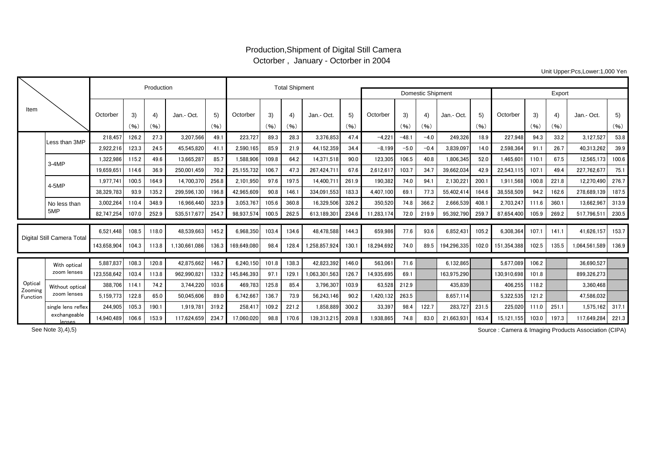## Production,Shipment of Digital Still Camera Octorber , January - Octorber in 2004

Unit Upper:Pcs,Lower:1,000 Yen

|                               |                                |             | Production |                          | <b>Total Shipment</b> |            |                   |            |            |               |            |            |            |            |             |            |             |            |            |               |            |
|-------------------------------|--------------------------------|-------------|------------|--------------------------|-----------------------|------------|-------------------|------------|------------|---------------|------------|------------|------------|------------|-------------|------------|-------------|------------|------------|---------------|------------|
|                               |                                |             |            |                          |                       |            | Domestic Shipment |            | Export     |               |            |            |            |            |             |            |             |            |            |               |            |
| Item                          |                                | Octorber    | 3)<br>(96) | $\left(4\right)$<br>(96) | Jan.- Oct             | 5)<br>(96) | Octorber          | 3)<br>(96) | 4)<br>(96) | Jan.- Oct.    | 5)<br>(96) | Octorber   | 3)<br>(96) | 4)<br>(96) | Jan.- Oct.  | 5)<br>(96) | Octorber    | 3)<br>(96) | 4)<br>(96) | Jan.- Oct     | 5)<br>(96) |
|                               | Less than 3MP                  | 218.457     | 126.2      | 27.3                     | 3.207.566             | 49.1       | 223,727           | 89.3       | 28.3       | 3,376,853     | 47.4       | $-4.221$   | $-48.$     | $-4.0$     | 249,326     | 18.9       | 227,948     | 94.3       | 33.2       | 3,127,527     | 53.8       |
|                               |                                | 2.922.216   | 123.3      | 24.5                     | 45.545.820            | 41.1       | 2.590.165         | 85.9       | 21.9       | 44.152.359    | 34.4       | $-8.199$   | $-5.0$     | $-0.4$     | 3.839.097   | 14.0       | 2.598.364   | 91.1       | 26.7       | 40.313.262    | 39.9       |
|                               | $3-4MP$                        | 1.322.986   | 115.2      | 49.6                     | 13.665.287            | 85.7       | 1,588,906         | 109.8      | 64.2       | 14.371.518    | 90.0       | 123,305    | 106.5      | 40.8       | 1,806,345   | 52.0       | 1.465.60    | 110.1      | 67.5       | 12.565.173    | 100.6      |
|                               |                                | 19,659,651  | 114.6      | 36.9                     | 250,001,459           | 70.2       | 25,155,732        | 106.7      | 47.3       | 267,424,711   | 67.6       | 2,612,617  | 103.7      | 34.7       | 39,662,034  | 42.9       | 22,543,115  | 107.1      | 49.4       | 227,762,677   | 75.1       |
|                               | 4-5MP                          | 1.977.74    | 100.5      | 164.9                    | 14.700.370            | 256.8      | 2,101,950         | 97.6       | 197.5      | 14,400,711    | 261.9      | 190,382    | 74.0       | 94.1       | 2,130,221   | 200.1      | 1,911,568   | 100.8      | 221.8      | 12.270.490    | 276.7      |
|                               |                                | 38.329.783  | 93.9       | 135.2                    | 299.596.130           | 196.8      | 42,965,609        | 90.8       | 146.1      | 334.091.553   | 183.3      | 4.407.100  | 69.        | 77.3       | 55,402,414  | 164.6      | 38,558,509  | 94.2       | 162.6      | 278.689.139   | 187.5      |
|                               | No less than<br>5MP            | 3,002,264   | 110.4      | 348.9                    | 16,966,440            | 323.9      | 3,053,767         | 105.6      | 360.8      | 16,329,506    | 326.2      | 350,520    | 74.8       | 366.2      | 2,666,539   | 408.1      | 2,703,247   | 111.6      | 360.1      | 13,662,967    | 313.9      |
|                               |                                | 82,747,254  | 107.0      | 252.9                    | 535,517,677           | 254.7      | 98,937,574        | 100.5      | 262.5      | 613.189.301   | 234.6      | 11,283,174 | 72.0       | 219.9      | 95,392,790  | 259.7      | 87,654,400  | 105.9      | 269.2      | 517,796,51    | 230.5      |
| Digital Still Camera Total    |                                |             |            |                          |                       |            |                   |            |            |               |            |            |            |            |             |            |             |            |            |               |            |
|                               |                                | 6.521.448   | 108.5      | 118.0                    | 48.539.663            | 145.2      | 6.968.350         | 103.4      | 134.6      | 48.478.588    | 144.3      | 659.986    | 77.6       | 93.6       | 6.852.431   | 105.2      | 6.308.364   | 107.1      | 141.1      | 41,626,157    | 153.7      |
|                               |                                | 143.658.904 | 104.3      | 113.8                    | 1.130.661.086         | 136.3      | 169.649.080       | 98.4       | 128.4      | 1.258.857.924 | 130.1      | 18.294.692 | 74.0       | 89.5       | 194,296,335 | 102.0      | 151.354.388 | 102.5      | 135.5      | 1.064.561.589 | 136.9      |
|                               |                                |             |            |                          |                       |            |                   |            |            |               |            |            |            |            |             |            |             |            |            |               |            |
| Optica<br>Zooming<br>Function | With optical<br>zoom lenses    | 5,887,837   | 108.3      | 120.8                    | 42.875.662            | 146.7      | 6.240.150         | 101.8      | 138.3      | 42,823,392    | 146.0      | 563.061    | 71.6       |            | 6,132,865   |            | 5.677.089   | 106.2      |            | 36.690.527    |            |
|                               |                                | 123.558.642 | 103.4      | 113.8                    | 962.990.821           | 133.2      | 145.846.393       | 97.1       | 129.1      | 1.063.301.563 | 126.7      | 14.935.695 | 69.1       |            | 163.975.290 |            | 130.910.698 | 101.8      |            | 899.326.273   |            |
|                               | Without optical<br>zoom lenses | 388,706     | 114.1      | 74.2                     | 3.744.220             | 103.6      | 469.783           | 125.8      | 85.4       | 3,796,307     | 103.9      | 63.528     | 212.9      |            | 435.839     |            | 406.255     | 118.2      |            | 3.360.468     |            |
|                               |                                | 5.159.773   | 122.8      | 65.0                     | 50.045.606            | 89.0       | 6,742,667         | 136.7      | 73.9       | 56,243,146    | 90.2       | ,420,132   | 263.5      |            | 8.657.114   |            | 5,322,535   | 121.2      |            | 47.586.032    |            |
|                               | single lens reflex             | 244,905     | 105.3      | 190.1                    | 1,919,781             | 319.2      | 258,41            | 109.2      | 221.2      | 1,858,889     | 300.2      | 33,397     | 98.4       | 122.7      | 283,727     | 231.5      | 225,020     | 111.0      | 251.1      | 1,575,162     | 317.1      |
|                               | exchangeable<br>lenses         | 14.940.489  | 106.6      | 153.9                    | 117,624,659           | 234.7      | 17,060,020        | 98.8       | 170.6      | 139,313,215   | 209.8      | 1,938,865  | 74.8       | 83.0       | 21,663,931  | 163.4      | 15,121,155  | 103.0      | 197.3      | 117,649,284   | 221.3      |

See Note 3),4),5)

Source : Camera & Imaging Products Association (CIPA)